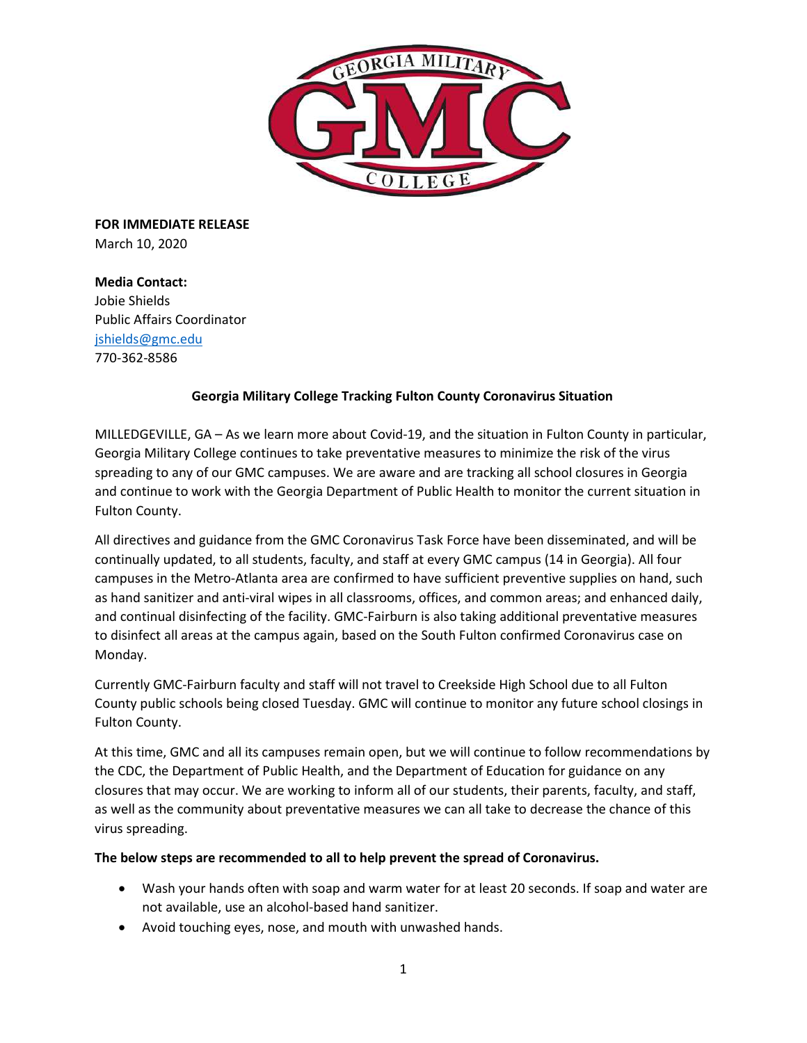

**FOR IMMEDIATE RELEASE** March 10, 2020

**Media Contact:**  Jobie Shields Public Affairs Coordinator [jshields@gmc.edu](mailto:jshields@gmc.edu) 770-362-8586

# **Georgia Military College Tracking Fulton County Coronavirus Situation**

MILLEDGEVILLE, GA – As we learn more about Covid-19, and the situation in Fulton County in particular, Georgia Military College continues to take preventative measures to minimize the risk of the virus spreading to any of our GMC campuses. We are aware and are tracking all school closures in Georgia and continue to work with the Georgia Department of Public Health to monitor the current situation in Fulton County.

All directives and guidance from the GMC Coronavirus Task Force have been disseminated, and will be continually updated, to all students, faculty, and staff at every GMC campus (14 in Georgia). All four campuses in the Metro-Atlanta area are confirmed to have sufficient preventive supplies on hand, such as hand sanitizer and anti-viral wipes in all classrooms, offices, and common areas; and enhanced daily, and continual disinfecting of the facility. GMC-Fairburn is also taking additional preventative measures to disinfect all areas at the campus again, based on the South Fulton confirmed Coronavirus case on Monday.

Currently GMC-Fairburn faculty and staff will not travel to Creekside High School due to all Fulton County public schools being closed Tuesday. GMC will continue to monitor any future school closings in Fulton County.

At this time, GMC and all its campuses remain open, but we will continue to follow recommendations by the CDC, the Department of Public Health, and the Department of Education for guidance on any closures that may occur. We are working to inform all of our students, their parents, faculty, and staff, as well as the community about preventative measures we can all take to decrease the chance of this virus spreading.

## **The below steps are recommended to all to help prevent the spread of Coronavirus.**

- Wash your hands often with soap and warm water for at least 20 seconds. If soap and water are not available, use an alcohol-based hand sanitizer.
- Avoid touching eyes, nose, and mouth with unwashed hands.